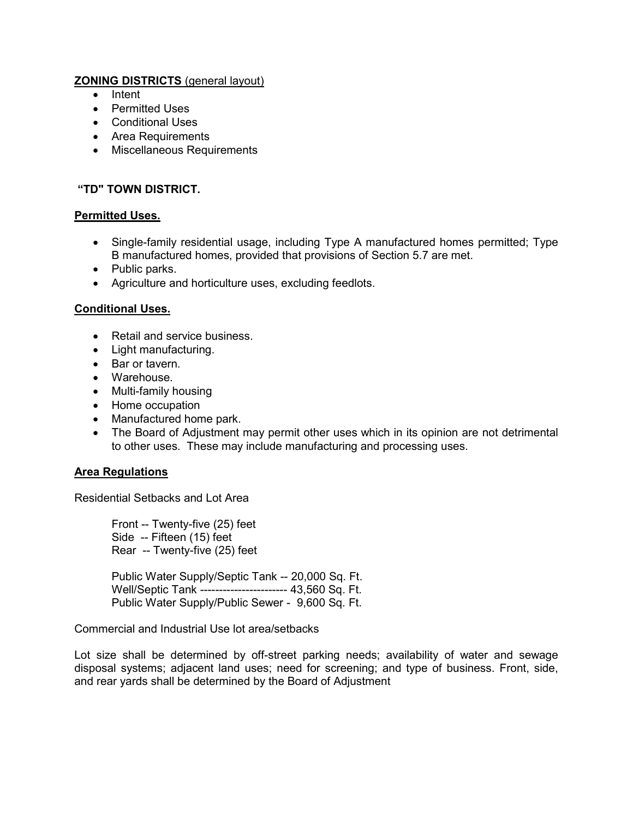# **ZONING DISTRICTS** (general layout)

- Intent
- Permitted Uses
- Conditional Uses
- Area Requirements
- Miscellaneous Requirements

## **"TD" TOWN DISTRICT.**

## **Permitted Uses.**

- Single-family residential usage, including Type A manufactured homes permitted; Type B manufactured homes, provided that provisions of Section 5.7 are met.
- Public parks.
- Agriculture and horticulture uses, excluding feedlots.

#### **Conditional Uses.**

- Retail and service business.
- Light manufacturing.
- Bar or tavern.
- Warehouse.
- Multi-family housing
- Home occupation
- Manufactured home park.
- The Board of Adjustment may permit other uses which in its opinion are not detrimental to other uses. These may include manufacturing and processing uses.

## **Area Regulations**

Residential Setbacks and Lot Area

Front -- Twenty-five (25) feet Side -- Fifteen (15) feet Rear -- Twenty-five (25) feet

Public Water Supply/Septic Tank -- 20,000 Sq. Ft. Well/Septic Tank ----------------------- 43,560 Sq. Ft. Public Water Supply/Public Sewer - 9,600 Sq. Ft.

#### Commercial and Industrial Use lot area/setbacks

Lot size shall be determined by off-street parking needs; availability of water and sewage disposal systems; adjacent land uses; need for screening; and type of business. Front, side, and rear yards shall be determined by the Board of Adjustment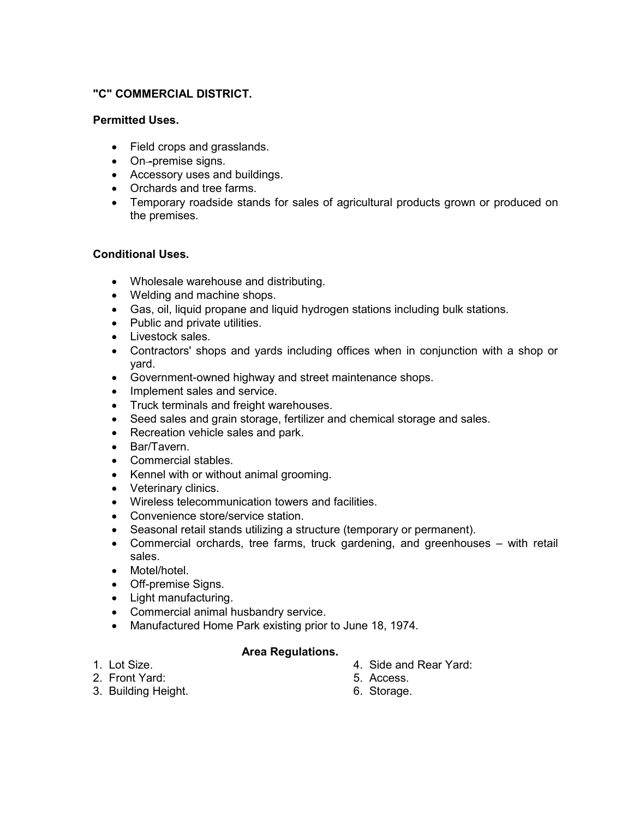## **"C" COMMERCIAL DISTRICT.**

## **Permitted Uses.**

- Field crops and grasslands.
- On-premise signs.
- Accessory uses and buildings.
- Orchards and tree farms.
- Temporary roadside stands for sales of agricultural products grown or produced on the premises.

# **Conditional Uses.**

- Wholesale warehouse and distributing.
- Welding and machine shops.
- Gas, oil, liquid propane and liquid hydrogen stations including bulk stations.
- Public and private utilities.
- Livestock sales.
- Contractors' shops and yards including offices when in conjunction with a shop or yard.
- Government-owned highway and street maintenance shops.
- Implement sales and service.
- Truck terminals and freight warehouses.
- Seed sales and grain storage, fertilizer and chemical storage and sales.
- Recreation vehicle sales and park.
- Bar/Tavern.
- Commercial stables.
- Kennel with or without animal grooming.
- Veterinary clinics.
- Wireless telecommunication towers and facilities.
- Convenience store/service station.
- Seasonal retail stands utilizing a structure (temporary or permanent).
- Commercial orchards, tree farms, truck gardening, and greenhouses with retail sales.
- Motel/hotel.
- Off-premise Signs.
- Light manufacturing.
- Commercial animal husbandry service.
- Manufactured Home Park existing prior to June 18, 1974.

## **Area Regulations.**

- 1. Lot Size.
- 2. Front Yard:
- 3. Building Height.
- 4. Side and Rear Yard:
- 5. Access.
- 6. Storage.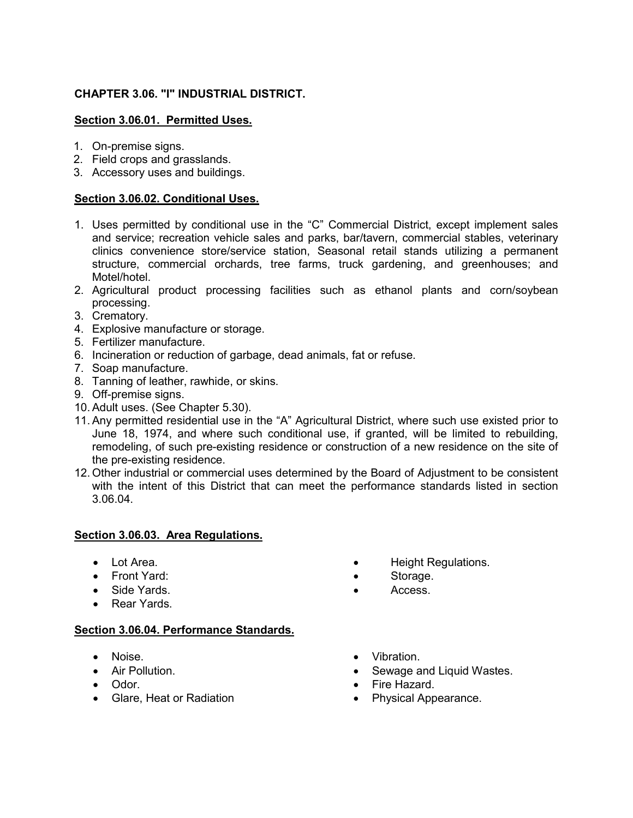# **CHAPTER 3.06. "I" INDUSTRIAL DISTRICT.**

### **Section 3.06.01. Permitted Uses.**

- 1. On-premise signs.
- 2. Field crops and grasslands.
- 3. Accessory uses and buildings.

#### **Section 3.06.02. Conditional Uses.**

- 1. Uses permitted by conditional use in the "C" Commercial District, except implement sales and service; recreation vehicle sales and parks, bar/tavern, commercial stables, veterinary clinics convenience store/service station, Seasonal retail stands utilizing a permanent structure, commercial orchards, tree farms, truck gardening, and greenhouses; and Motel/hotel.
- 2. Agricultural product processing facilities such as ethanol plants and corn/soybean processing.
- 3. Crematory.
- 4. Explosive manufacture or storage.
- 5. Fertilizer manufacture.
- 6. Incineration or reduction of garbage, dead animals, fat or refuse.
- 7. Soap manufacture.
- 8. Tanning of leather, rawhide, or skins.
- 9. Off-premise signs.
- 10. Adult uses. (See Chapter 5.30).
- 11. Any permitted residential use in the "A" Agricultural District, where such use existed prior to June 18, 1974, and where such conditional use, if granted, will be limited to rebuilding, remodeling, of such pre-existing residence or construction of a new residence on the site of the pre-existing residence.
- 12. Other industrial or commercial uses determined by the Board of Adjustment to be consistent with the intent of this District that can meet the performance standards listed in section 3.06.04.

#### **Section 3.06.03. Area Regulations.**

- Lot Area.
- Front Yard:
- Side Yards.
- Rear Yards.

#### **Section 3.06.04. Performance Standards.**

- Noise.
- Air Pollution.
- Odor.
- Glare, Heat or Radiation
- Height Regulations.
- Storage.
- Access.
- Vibration.
- Sewage and Liquid Wastes.
- Fire Hazard.
- Physical Appearance.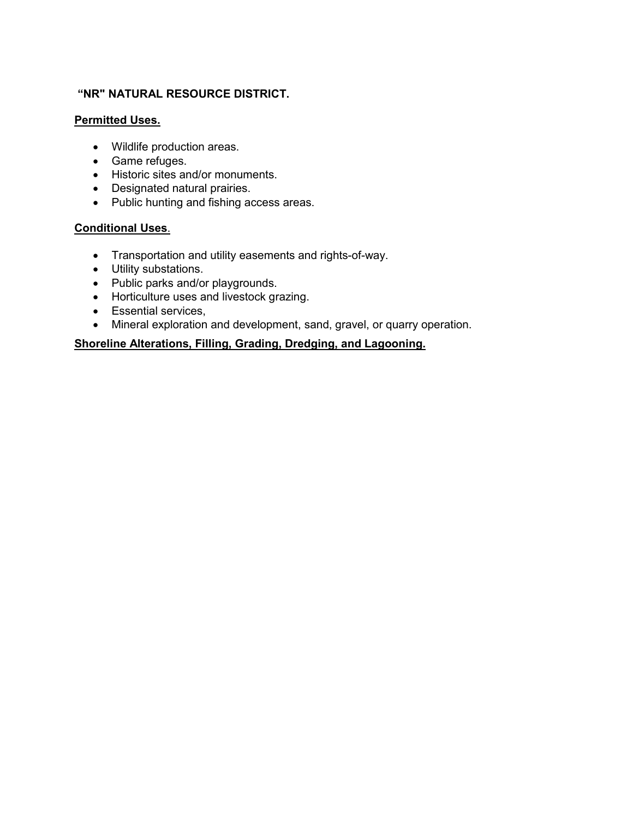# **"NR" NATURAL RESOURCE DISTRICT.**

#### **Permitted Uses.**

- Wildlife production areas.
- Game refuges.
- Historic sites and/or monuments.
- Designated natural prairies.
- Public hunting and fishing access areas.

## **Conditional Uses**.

- Transportation and utility easements and rights-of-way.
- Utility substations.
- Public parks and/or playgrounds.
- Horticulture uses and livestock grazing.
- Essential services,
- Mineral exploration and development, sand, gravel, or quarry operation.

## **Shoreline Alterations, Filling, Grading, Dredging, and Lagooning.**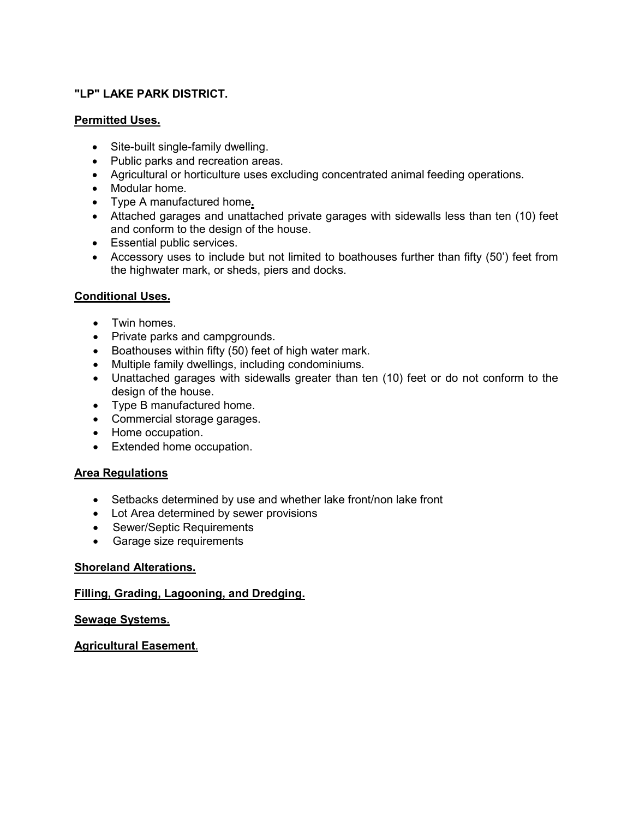## **"LP" LAKE PARK DISTRICT.**

## **Permitted Uses.**

- Site-built single-family dwelling.
- Public parks and recreation areas.
- Agricultural or horticulture uses excluding concentrated animal feeding operations.
- Modular home.
- Type A manufactured home**.**
- Attached garages and unattached private garages with sidewalls less than ten (10) feet and conform to the design of the house.
- Essential public services.
- Accessory uses to include but not limited to boathouses further than fifty (50') feet from the highwater mark, or sheds, piers and docks.

# **Conditional Uses.**

- Twin homes.
- Private parks and campgrounds.
- Boathouses within fifty (50) feet of high water mark.
- Multiple family dwellings, including condominiums.
- Unattached garages with sidewalls greater than ten (10) feet or do not conform to the design of the house.
- Type B manufactured home.
- Commercial storage garages.
- Home occupation.
- Extended home occupation.

## **Area Regulations**

- Setbacks determined by use and whether lake front/non lake front
- Lot Area determined by sewer provisions
- Sewer/Septic Requirements
- Garage size requirements

## **Shoreland Alterations.**

## **Filling, Grading, Lagooning, and Dredging.**

## **Sewage Systems.**

## **Agricultural Easement**.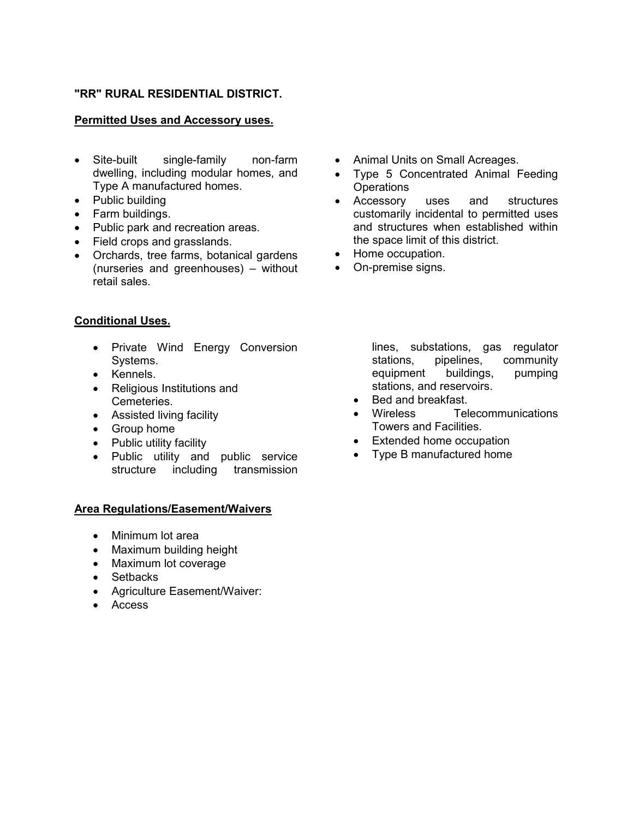### **"RR" RURAL RESIDENTIAL DISTRICT.**

#### **Permitted Uses and Accessory uses.**

- Site-built single-family non-farm dwelling, including modular homes, and Type A manufactured homes.
- Public building
- Farm buildings.
- Public park and recreation areas.
- Field crops and grasslands.
- Orchards, tree farms, botanical gardens (nurseries and greenhouses) – without retail sales.

#### **Conditional Uses.**

- Private Wind Energy Conversion Systems.
- Kennels.
- Religious Institutions and Cemeteries.
- Assisted living facility
- Group home
- Public utility facility
- Public utility and public service structure including transmission

#### **Area Regulations/Easement/Waivers**

- Minimum lot area
- Maximum building height
- Maximum lot coverage
- Setbacks
- Agriculture Easement/Waiver:
- Access
- Animal Units on Small Acreages.
- Type 5 Concentrated Animal Feeding **Operations**
- Accessory uses and structures customarily incidental to permitted uses and structures when established within the space limit of this district.
- Home occupation.
- On-premise signs.

lines, substations, gas regulator stations, pipelines, community equipment buildings, pumping stations, and reservoirs.

- Bed and breakfast.
- Wireless Telecommunications Towers and Facilities.
- Extended home occupation
- Type B manufactured home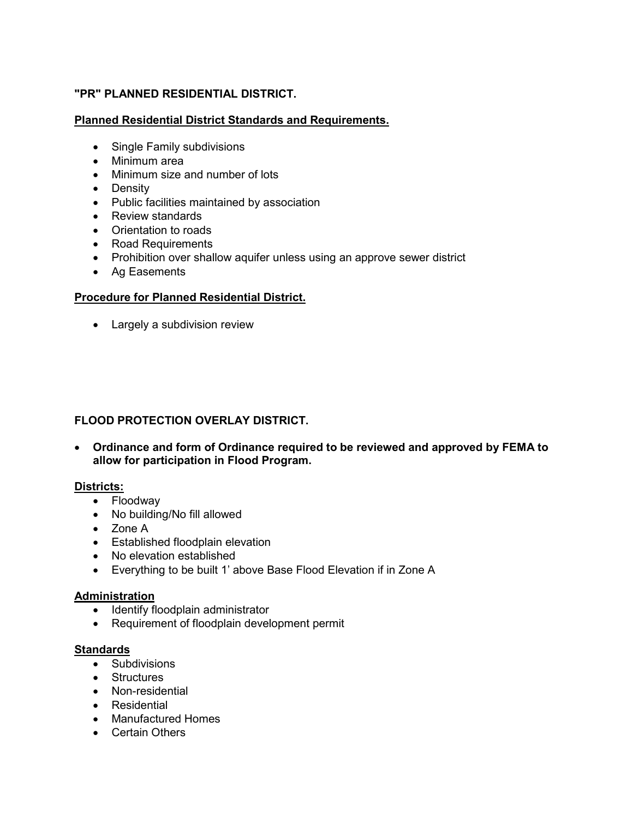# **"PR" PLANNED RESIDENTIAL DISTRICT.**

## **Planned Residential District Standards and Requirements.**

- Single Family subdivisions
- Minimum area
- Minimum size and number of lots
- Density
- Public facilities maintained by association
- Review standards
- Orientation to roads
- Road Requirements
- Prohibition over shallow aquifer unless using an approve sewer district
- Ag Easements

# **Procedure for Planned Residential District.**

• Largely a subdivision review

# **FLOOD PROTECTION OVERLAY DISTRICT.**

• **Ordinance and form of Ordinance required to be reviewed and approved by FEMA to allow for participation in Flood Program.** 

## **Districts:**

- Floodway
- No building/No fill allowed
- Zone A
- Established floodplain elevation
- No elevation established
- Everything to be built 1' above Base Flood Elevation if in Zone A

## **Administration**

- Identify floodplain administrator
- Requirement of floodplain development permit

## **Standards**

- Subdivisions
- Structures
- Non-residential
- Residential
- Manufactured Homes
- Certain Others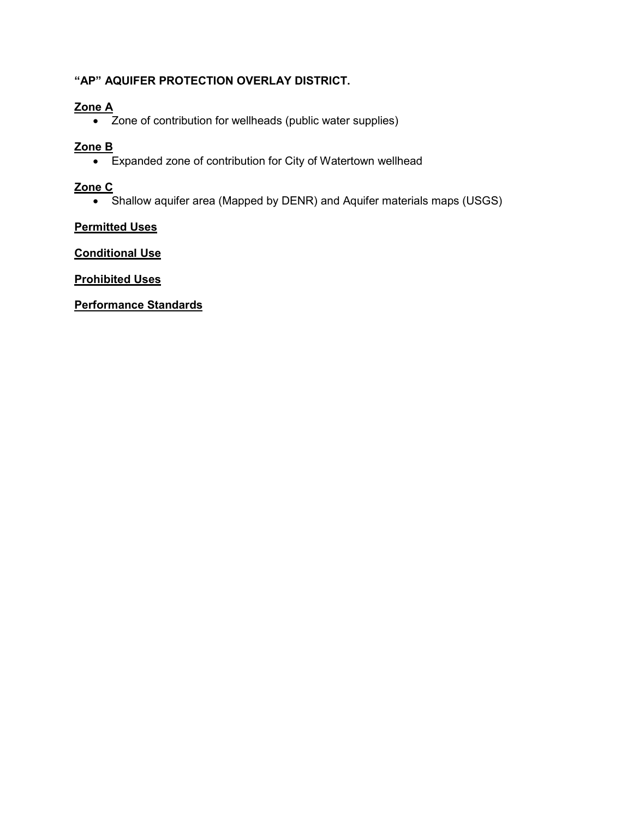# **"AP" AQUIFER PROTECTION OVERLAY DISTRICT.**

# **Zone A**

• Zone of contribution for wellheads (public water supplies)

# **Zone B**

• Expanded zone of contribution for City of Watertown wellhead

# **Zone C**

• Shallow aquifer area (Mapped by DENR) and Aquifer materials maps (USGS)

# **Permitted Uses**

**Conditional Use**

**Prohibited Uses**

# **Performance Standards**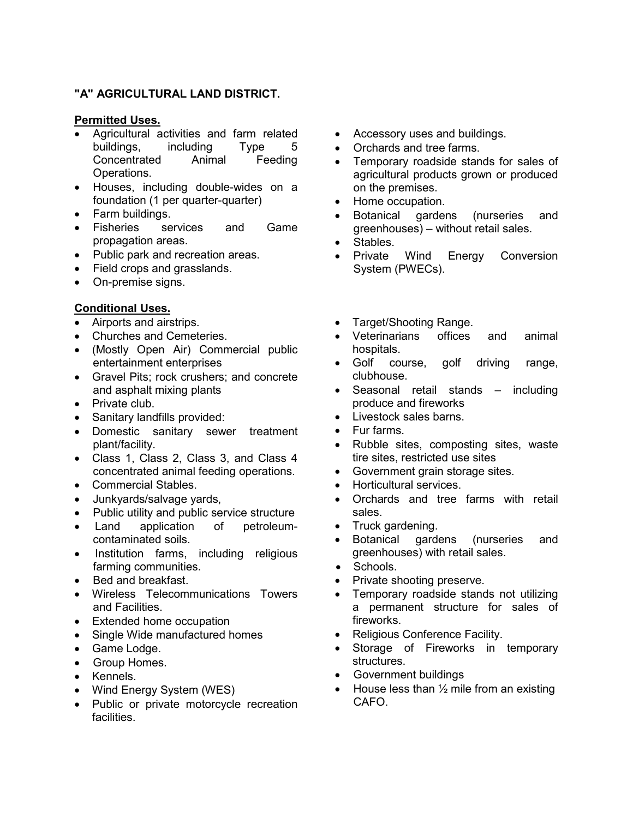## **"A" AGRICULTURAL LAND DISTRICT.**

#### **Permitted Uses.**

- Agricultural activities and farm related buildings, including Type 5 Concentrated Animal Feeding Operations.
- Houses, including double-wides on a foundation (1 per quarter-quarter)
- Farm buildings.
- Fisheries services and Game propagation areas.
- Public park and recreation areas.
- Field crops and grasslands.
- On-premise signs.

# **Conditional Uses.**

- Airports and airstrips.
- Churches and Cemeteries.
- (Mostly Open Air) Commercial public entertainment enterprises
- Gravel Pits; rock crushers; and concrete and asphalt mixing plants
- Private club.
- Sanitary landfills provided:
- Domestic sanitary sewer treatment plant/facility.
- Class 1, Class 2, Class 3, and Class 4 concentrated animal feeding operations.
- Commercial Stables.
- Junkyards/salvage yards,
- Public utility and public service structure
- Land application of petroleumcontaminated soils.
- Institution farms, including religious farming communities.
- Bed and breakfast.
- Wireless Telecommunications Towers and Facilities.
- Extended home occupation
- Single Wide manufactured homes
- Game Lodge.
- Group Homes.
- Kennels.
- Wind Energy System (WES)
- Public or private motorcycle recreation facilities.
- Accessory uses and buildings.
- Orchards and tree farms.
- Temporary roadside stands for sales of agricultural products grown or produced on the premises.
- Home occupation.
- Botanical gardens (nurseries and greenhouses) – without retail sales.
- Stables.
- Private Wind Energy Conversion System (PWECs).
- Target/Shooting Range.
- Veterinarians offices and animal hospitals.
- Golf course, golf driving range, clubhouse.
- Seasonal retail stands including produce and fireworks
- Livestock sales barns.
- Fur farms.
- Rubble sites, composting sites, waste tire sites, restricted use sites
- Government grain storage sites.
- Horticultural services.
- Orchards and tree farms with retail sales.
- Truck gardening.
- Botanical gardens (nurseries and greenhouses) with retail sales.
- Schools.
- Private shooting preserve.
- Temporary roadside stands not utilizing a permanent structure for sales of fireworks.
- Religious Conference Facility.
- Storage of Fireworks in temporary structures.
- Government buildings
- House less than  $\frac{1}{2}$  mile from an existing CAFO.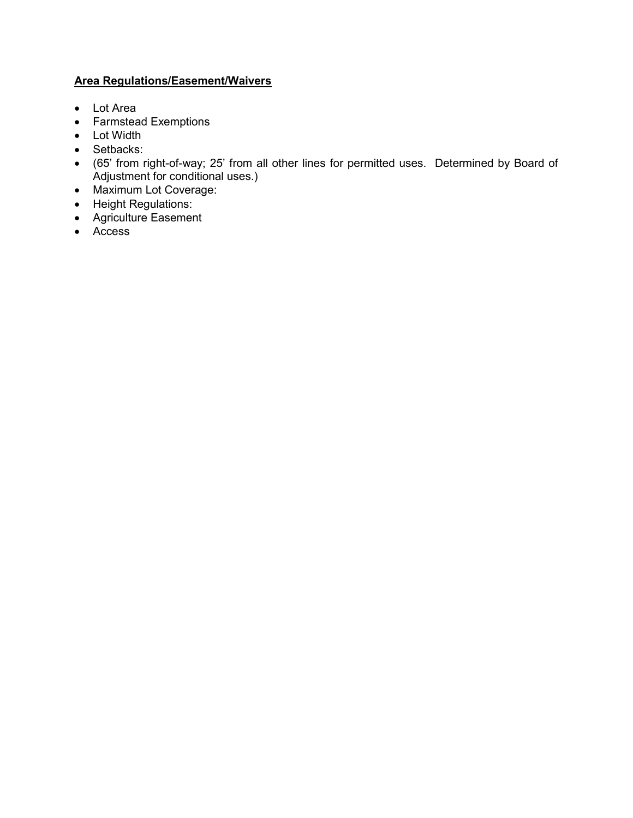# **Area Regulations/Easement/Waivers**

- Lot Area
- Farmstead Exemptions
- Lot Width
- Setbacks:
- (65' from right-of-way; 25' from all other lines for permitted uses. Determined by Board of Adjustment for conditional uses.)
- Maximum Lot Coverage:
- Height Regulations:
- Agriculture Easement
- Access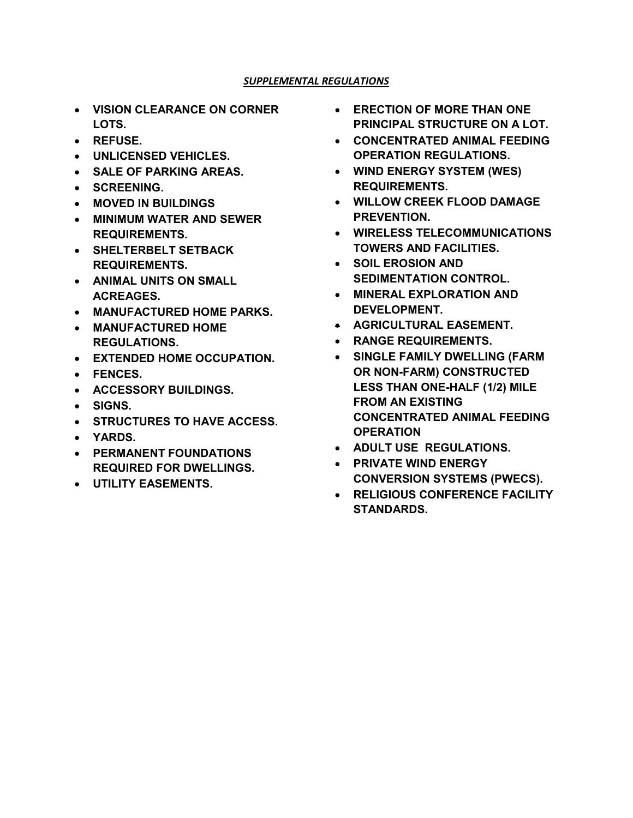#### *SUPPLEMENTAL REGULATIONS*

- **VISION CLEARANCE ON CORNER LOTS.**
- **REFUSE.**
- **UNLICENSED VEHICLES.**
- **SALE OF PARKING AREAS.**
- **SCREENING.**
- **MOVED IN BUILDINGS**
- **MINIMUM WATER AND SEWER REQUIREMENTS.**
- **SHELTERBELT SETBACK REQUIREMENTS.**
- **ANIMAL UNITS ON SMALL ACREAGES.**
- **MANUFACTURED HOME PARKS.**
- **MANUFACTURED HOME REGULATIONS.**
- **EXTENDED HOME OCCUPATION.**
- **FENCES.**
- **ACCESSORY BUILDINGS.**
- **SIGNS.**
- **STRUCTURES TO HAVE ACCESS.**
- **YARDS.**
- **PERMANENT FOUNDATIONS REQUIRED FOR DWELLINGS.**
- **UTILITY EASEMENTS.**
- **ERECTION OF MORE THAN ONE PRINCIPAL STRUCTURE ON A LOT.**
- **CONCENTRATED ANIMAL FEEDING OPERATION REGULATIONS.**
- **WIND ENERGY SYSTEM (WES) REQUIREMENTS.**
- **WILLOW CREEK FLOOD DAMAGE PREVENTION.**
- **WIRELESS TELECOMMUNICATIONS TOWERS AND FACILITIES.**
- **SOIL EROSION AND SEDIMENTATION CONTROL.**
- **MINERAL EXPLORATION AND DEVELOPMENT.**
- **AGRICULTURAL EASEMENT.**
- **RANGE REQUIREMENTS.**
- **SINGLE FAMILY DWELLING (FARM OR NON-FARM) CONSTRUCTED LESS THAN ONE-HALF (1/2) MILE FROM AN EXISTING CONCENTRATED ANIMAL FEEDING OPERATION**
- **ADULT USE REGULATIONS.**
- **PRIVATE WIND ENERGY CONVERSION SYSTEMS (PWECS).**
- **RELIGIOUS CONFERENCE FACILITY STANDARDS.**